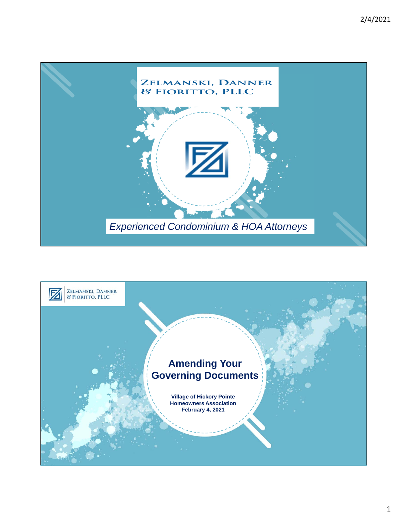

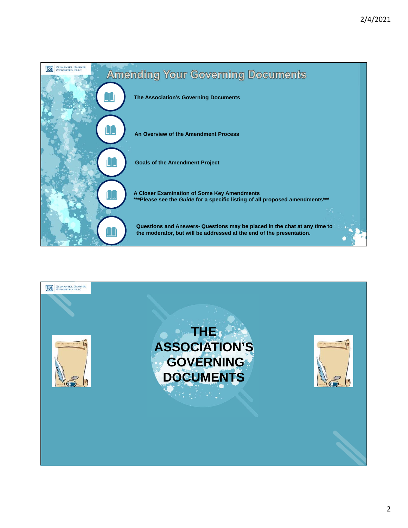

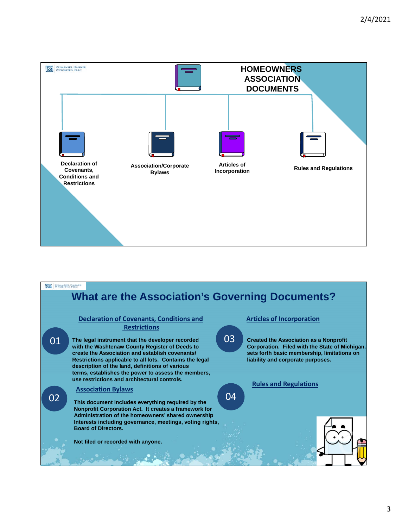

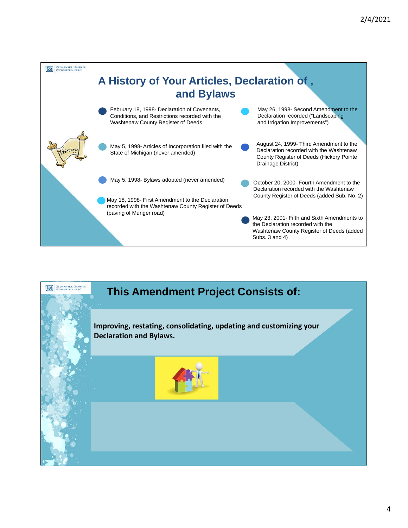

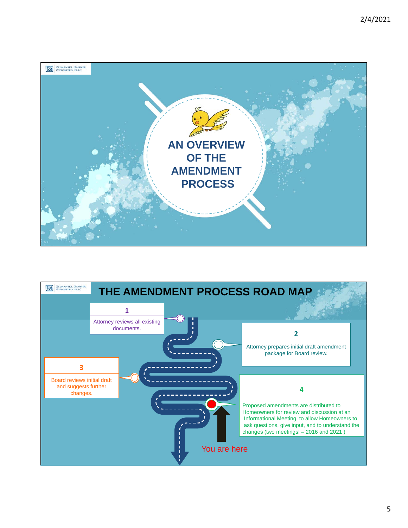

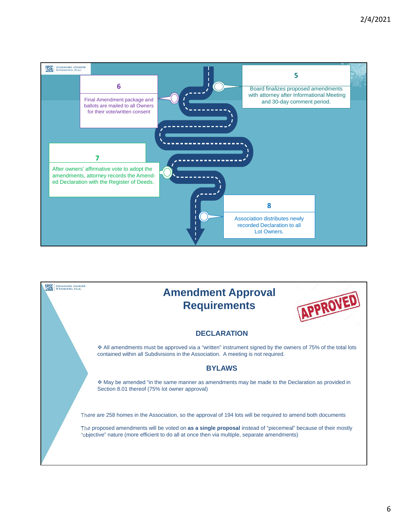

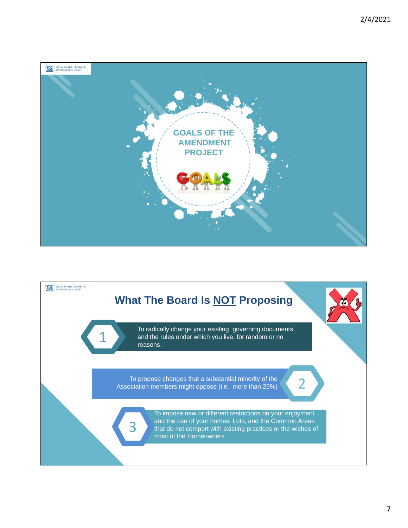

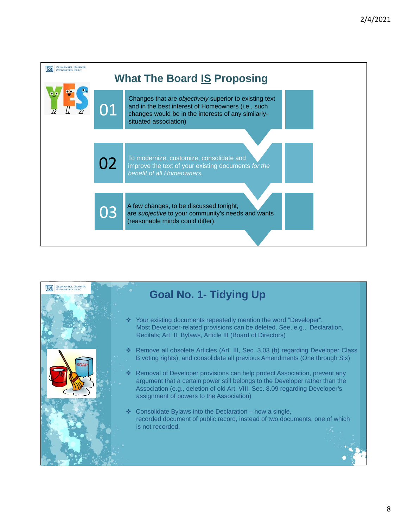

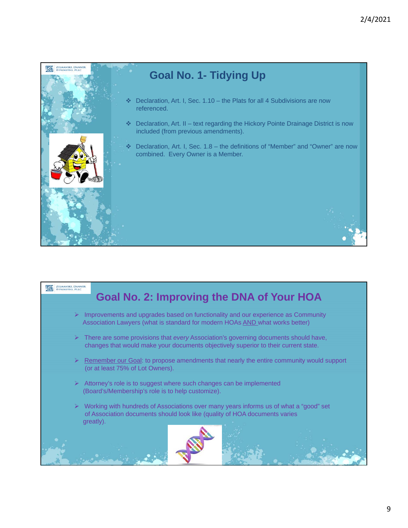

**ZELMANSKI, DANNER** 

## **Goal No. 2: Improving the DNA of Your HOA**

- $\triangleright$  Improvements and upgrades based on functionality and our experience as Community Association Lawyers (what is standard for modern HOAs AND what works better)
- $\triangleright$  There are some provisions that *every* Association's governing documents should have, changes that would make your documents objectively superior to their current state.
- $\triangleright$  Remember our Goal: to propose amendments that nearly the entire community would support (or at least 75% of Lot Owners).
- $\triangleright$  Attorney's role is to suggest where such changes can be implemented (Board's/Membership's role is to help customize).
- Working with hundreds of Associations over many years informs us of what a "good" set of Association documents should look like (quality of HOA documents varies greatly).

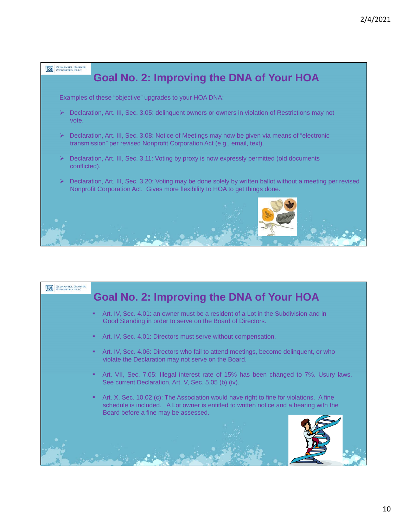

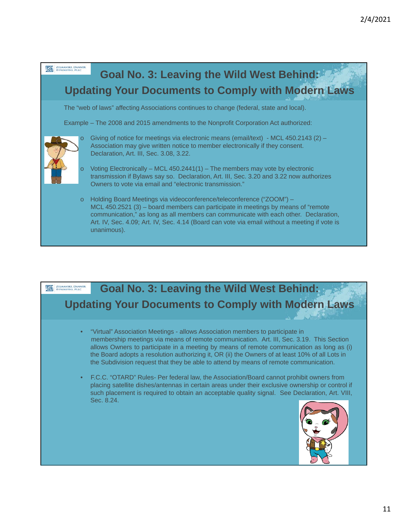

# **Goal No. 3: Leaving the Wild West Behind: ZELMANSKI, DANNER Updating Your Documents to Comply with Modern Laws** • "Virtual" Association Meetings - allows Association members to participate in membership meetings via means of remote communication. Art. III, Sec. 3.19. This Section allows Owners to participate in a meeting by means of remote communication as long as (i) the Board adopts a resolution authorizing it, OR (ii) the Owners of at least 10% of all Lots in the Subdivision request that they be able to attend by means of remote communication. • F.C.C. "OTARD" Rules- Per federal law, the Association/Board cannot prohibit owners from placing satellite dishes/antennas in certain areas under their exclusive ownership or control if such placement is required to obtain an acceptable quality signal. See Declaration, Art. VIII, Sec. 8.24.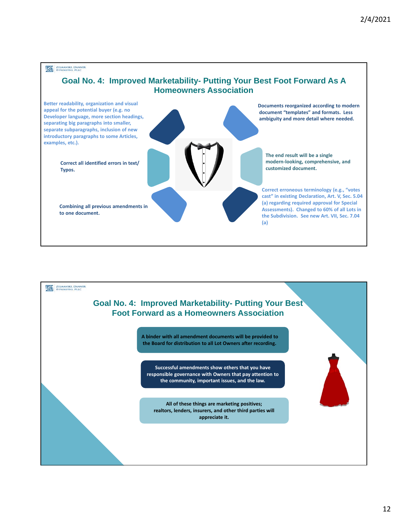**ZELMANSKI, DANNER** 

### **Goal No. 4: Improved Marketability- Putting Your Best Foot Forward As A Homeowners Association**



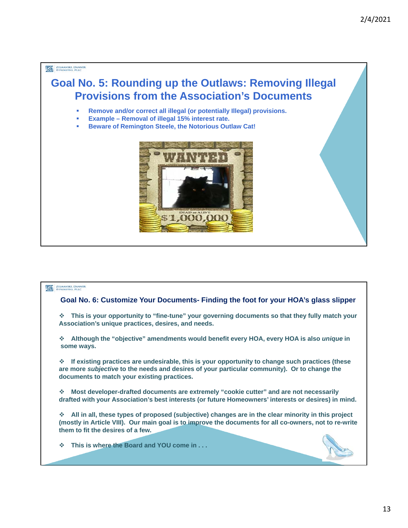#### **ZELMANSKI, DANNER**

## **Goal No. 5: Rounding up the Outlaws: Removing Illegal Provisions from the Association's Documents**

- **Remove and/or correct all illegal (or potentially Illegal) provisions.**
- **Example Removal of illegal 15% interest rate.**
- **Beware of Remington Steele, the Notorious Outlaw Cat!**



#### **ZELMANSKI, DANNER**

#### **Goal No. 6: Customize Your Documents- Finding the foot for your HOA's glass slipper**

 **This is your opportunity to "fine-tune" your governing documents so that they fully match your Association's unique practices, desires, and needs.**

 **Although the "objective" amendments would benefit every HOA, every HOA is also** *unique* **in some ways.**

 **If existing practices are undesirable, this is your opportunity to change such practices (these are more** *subjective* **to the needs and desires of your particular community). Or to change the documents to match your existing practices.**

 **Most developer-drafted documents are extremely "cookie cutter" and are not necessarily drafted with your Association's best interests (or future Homeowners' interests or desires) in mind.**

 **All in all, these types of proposed (subjective) changes are in the clear minority in this project (mostly in Article VIII). Our main goal is to improve the documents for all co-owners, not to re-write them to fit the desires of a few.**

**This is where the Board and YOU come in . . .**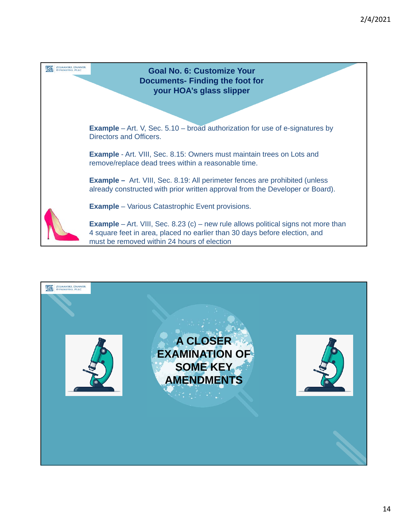

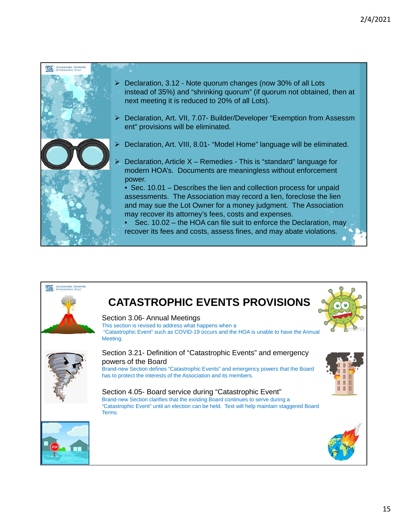

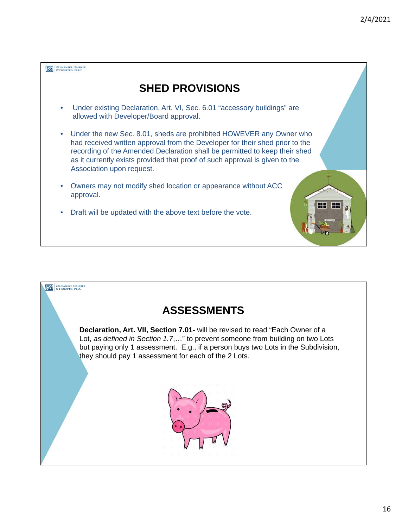

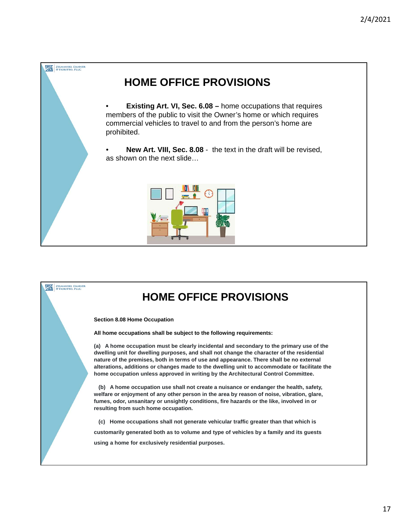